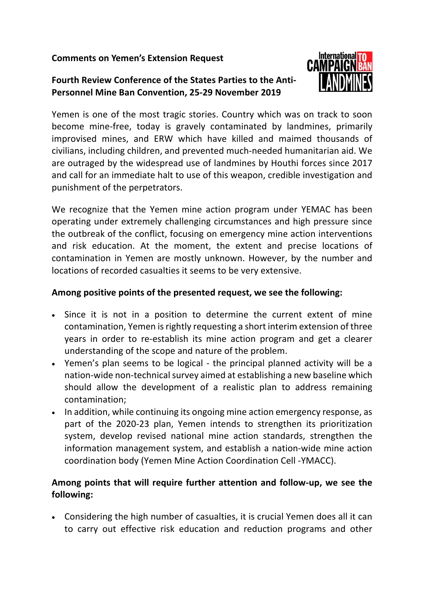## **Comments on Yemen's Extension Request**

## **Fourth Review Conference of the States Parties to the Anti-Personnel Mine Ban Convention, 25-29 November 2019**



Yemen is one of the most tragic stories. Country which was on track to soon become mine-free, today is gravely contaminated by landmines, primarily improvised mines, and ERW which have killed and maimed thousands of civilians, including children, and prevented much-needed humanitarian aid. We are outraged by the widespread use of landmines by Houthi forces since 2017 and call for an immediate halt to use of this weapon, credible investigation and punishment of the perpetrators.

We recognize that the Yemen mine action program under YEMAC has been operating under extremely challenging circumstances and high pressure since the outbreak of the conflict, focusing on emergency mine action interventions and risk education. At the moment, the extent and precise locations of contamination in Yemen are mostly unknown. However, by the number and locations of recorded casualties it seems to be very extensive.

## **Among positive points of the presented request, we see the following:**

- Since it is not in a position to determine the current extent of mine contamination, Yemen is rightly requesting a short interim extension of three years in order to re-establish its mine action program and get a clearer understanding of the scope and nature of the problem.
- Yemen's plan seems to be logical the principal planned activity will be a nation-wide non-technical survey aimed at establishing a new baseline which should allow the development of a realistic plan to address remaining contamination;
- In addition, while continuing its ongoing mine action emergency response, as part of the 2020-23 plan, Yemen intends to strengthen its prioritization system, develop revised national mine action standards, strengthen the information management system, and establish a nation-wide mine action coordination body (Yemen Mine Action Coordination Cell -YMACC).

## **Among points that will require further attention and follow-up, we see the following:**

• Considering the high number of casualties, it is crucial Yemen does all it can to carry out effective risk education and reduction programs and other